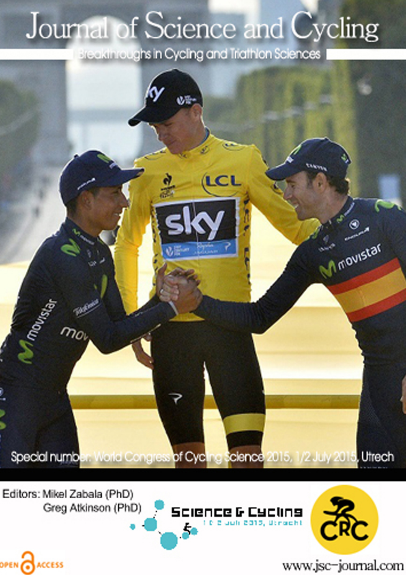## Journal of Science and Cycling

Breakthroughs in Cycling and Triathlon Sciences



Editors: Mikel Zabala (PhD) Greg Atkinson (PhD)

OPEN CACCESS





www.jsc-journal.com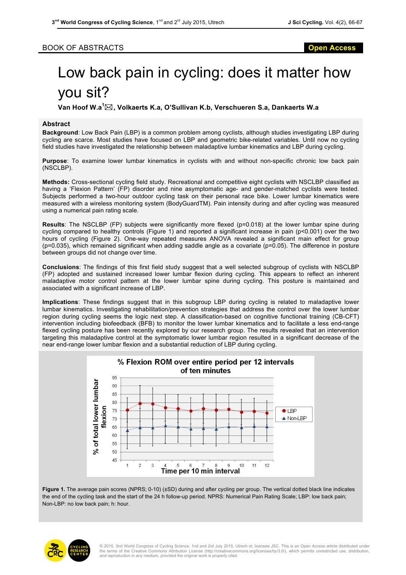## BOOK OF ABSTRACTS **Open Access**

## Low back pain in cycling: does it matter how you sit?

**Van Hoof W.a<sup>1</sup>** \***, Volkaerts K.a, O'Sullivan K.b, Verschueren S.a, Dankaerts W.a**

## **Abstract**

**Background**: Low Back Pain (LBP) is a common problem among cyclists, although studies investigating LBP during cycling are scarce. Most studies have focused on LBP and geometric bike-related variables. Until now no cycling field studies have investigated the relationship between maladaptive lumbar kinematics and LBP during cycling.

**Purpose**: To examine lower lumbar kinematics in cyclists with and without non-specific chronic low back pain (NSCLBP).

**Methods:** Cross-sectional cycling field study. Recreational and competitive eight cyclists with NSCLBP classified as having a 'Flexion Pattern' (FP) disorder and nine asymptomatic age- and gender-matched cyclists were tested. Subjects performed a two-hour outdoor cycling task on their personal race bike. Lower lumbar kinematics were measured with a wireless monitoring system (BodyGuardTM). Pain intensity during and after cycling was measured using a numerical pain rating scale.

**Results**: The NSCLBP (FP) subjects were significantly more flexed (p=0.018) at the lower lumbar spine during cycling compared to healthy controls (Figure 1) and reported a significant increase in pain (p<0.001) over the two hours of cycling (Figure 2). One-way repeated measures ANOVA revealed a significant main effect for group (p=0.035), which remained significant when adding saddle angle as a covariate (p=0.05). The difference in posture between groups did not change over time.

**Conclusions**: The findings of this first field study suggest that a well selected subgroup of cyclists with NSCLBP (FP) adopted and sustained increased lower lumbar flexion during cycling. This appears to reflect an inherent maladaptive motor control pattern at the lower lumbar spine during cycling. This posture is maintained and associated with a significant increase of LBP.

**Implications**: These findings suggest that in this subgroup LBP during cycling is related to maladaptive lower lumbar kinematics. Investigating rehabilitation/prevention strategies that address the control over the lower lumbar region during cycling seems the logic next step. A classification-based on cognitive functional training (CB-CFT) intervention including biofeedback (BFB) to monitor the lower lumbar kinematics and to facilitate a less end-range flexed cycling posture has been recently explored by our research group. The results revealed that an intervention targeting this maladaptive control at the symptomatic lower lumbar region resulted in a significant decrease of the near end-range lower lumbar flexion and a substantial reduction of LBP during cycling.



Figure 1. The average pain scores (NPRS; 0-10) (±SD) during and after cycling per group. The vertical dotted black line indicates the end of the cycling task and the start of the 24 h follow-up period. NPRS: Numerical Pain Rating Scale; LBP: low back pain; Non-LBP: no low back pain; h: hour.